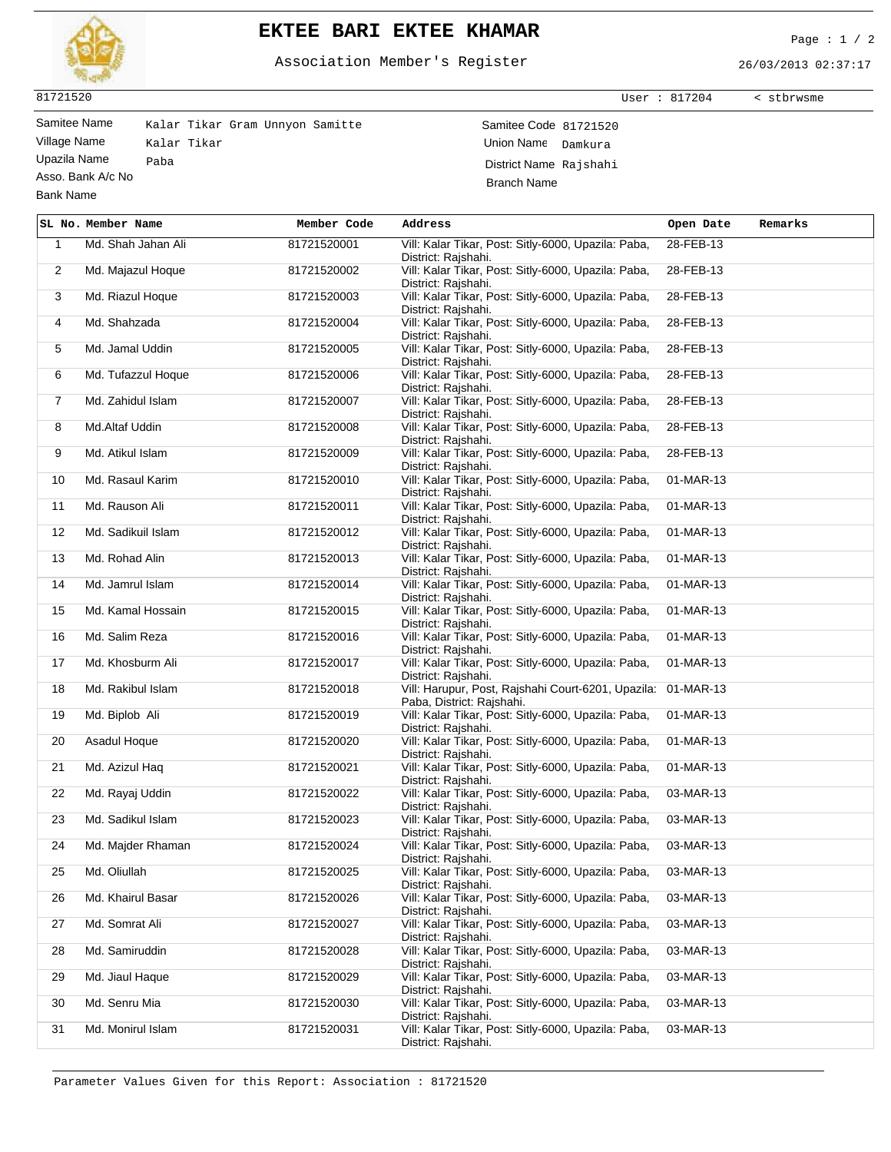

## **EKTEE BARI EKTEE KHAMAR** Page : 1 / 2

Association Member's Register

26/03/2013 02:37:17

User : 817204 < stbrwsme

81721520

Bank Name

 $\mathbf{r}$ 

Asso. Bank A/c No

Samitee Name Kalar Tikar Gram Unnyon Samitte Samitee Code 81721520 Village Name Kalar Tikar (Village Name Damkura Union Name Damkura Union Name Damkura Union Name Damkura Union Name Damkura (Village National Damkura Union Name Rajshah) Paba Paba District Name Rajshahi Branch Name

|                | SL No. Member Name | Member Code | Address                                                                                   | Open Date | Remarks |
|----------------|--------------------|-------------|-------------------------------------------------------------------------------------------|-----------|---------|
| $\mathbf{1}$   | Md. Shah Jahan Ali | 81721520001 | Vill: Kalar Tikar, Post: Sitly-6000, Upazila: Paba,<br>District: Rajshahi.                | 28-FEB-13 |         |
| $\overline{2}$ | Md. Majazul Hoque  | 81721520002 | Vill: Kalar Tikar, Post: Sitly-6000, Upazila: Paba,<br>District: Rajshahi.                | 28-FEB-13 |         |
| 3              | Md. Riazul Hoque   | 81721520003 | Vill: Kalar Tikar, Post: Sitly-6000, Upazila: Paba,<br>District: Rajshahi.                | 28-FEB-13 |         |
| 4              | Md. Shahzada       | 81721520004 | Vill: Kalar Tikar, Post: Sitly-6000, Upazila: Paba,<br>District: Rajshahi.                | 28-FEB-13 |         |
| 5              | Md. Jamal Uddin    | 81721520005 | Vill: Kalar Tikar, Post: Sitly-6000, Upazila: Paba,<br>District: Rajshahi.                | 28-FEB-13 |         |
| 6              | Md. Tufazzul Hoque | 81721520006 | Vill: Kalar Tikar, Post: Sitly-6000, Upazila: Paba,<br>District: Rajshahi.                | 28-FEB-13 |         |
| $\overline{7}$ | Md. Zahidul Islam  | 81721520007 | Vill: Kalar Tikar, Post: Sitly-6000, Upazila: Paba,<br>District: Rajshahi.                | 28-FEB-13 |         |
| 8              | Md.Altaf Uddin     | 81721520008 | Vill: Kalar Tikar, Post: Sitly-6000, Upazila: Paba,<br>District: Rajshahi.                | 28-FEB-13 |         |
| 9              | Md. Atikul Islam   | 81721520009 | Vill: Kalar Tikar, Post: Sitly-6000, Upazila: Paba,<br>District: Rajshahi.                | 28-FEB-13 |         |
| 10             | Md. Rasaul Karim   | 81721520010 | Vill: Kalar Tikar, Post: Sitly-6000, Upazila: Paba,<br>District: Rajshahi.                | 01-MAR-13 |         |
| 11             | Md. Rauson Ali     | 81721520011 | Vill: Kalar Tikar, Post: Sitly-6000, Upazila: Paba,<br>District: Rajshahi.                | 01-MAR-13 |         |
| 12             | Md. Sadikuil Islam | 81721520012 | Vill: Kalar Tikar, Post: Sitly-6000, Upazila: Paba,<br>District: Rajshahi.                | 01-MAR-13 |         |
| 13             | Md. Rohad Alin     | 81721520013 | Vill: Kalar Tikar, Post: Sitly-6000, Upazila: Paba,<br>District: Rajshahi.                | 01-MAR-13 |         |
| 14             | Md. Jamrul Islam   | 81721520014 | Vill: Kalar Tikar, Post: Sitly-6000, Upazila: Paba,<br>District: Rajshahi.                | 01-MAR-13 |         |
| 15             | Md. Kamal Hossain  | 81721520015 | Vill: Kalar Tikar, Post: Sitly-6000, Upazila: Paba,<br>District: Rajshahi.                | 01-MAR-13 |         |
| 16             | Md. Salim Reza     | 81721520016 | Vill: Kalar Tikar, Post: Sitly-6000, Upazila: Paba,<br>District: Rajshahi.                | 01-MAR-13 |         |
| 17             | Md. Khosburm Ali   | 81721520017 | Vill: Kalar Tikar, Post: Sitly-6000, Upazila: Paba,<br>District: Rajshahi.                | 01-MAR-13 |         |
| 18             | Md. Rakibul Islam  | 81721520018 | Vill: Harupur, Post, Rajshahi Court-6201, Upazila: 01-MAR-13<br>Paba, District: Rajshahi. |           |         |
| 19             | Md. Biplob Ali     | 81721520019 | Vill: Kalar Tikar, Post: Sitly-6000, Upazila: Paba,<br>District: Rajshahi.                | 01-MAR-13 |         |
| 20             | Asadul Hoque       | 81721520020 | Vill: Kalar Tikar, Post: Sitly-6000, Upazila: Paba,<br>District: Rajshahi.                | 01-MAR-13 |         |
| 21             | Md. Azizul Haq     | 81721520021 | Vill: Kalar Tikar, Post: Sitly-6000, Upazila: Paba,<br>District: Rajshahi.                | 01-MAR-13 |         |
| 22             | Md. Rayaj Uddin    | 81721520022 | Vill: Kalar Tikar, Post: Sitly-6000, Upazila: Paba,<br>District: Rajshahi.                | 03-MAR-13 |         |
| 23             | Md. Sadikul Islam  | 81721520023 | Vill: Kalar Tikar, Post: Sitly-6000, Upazila: Paba,<br>District: Rajshahi.                | 03-MAR-13 |         |
| 24             | Md. Majder Rhaman  | 81721520024 | Vill: Kalar Tikar, Post: Sitly-6000, Upazila: Paba,<br>District: Raishahi.                | 03-MAR-13 |         |
| 25             | Md. Oliullah       | 81721520025 | Vill: Kalar Tikar, Post: Sitly-6000, Upazila: Paba,<br>District: Rajshahi.                | 03-MAR-13 |         |
| 26             | Md. Khairul Basar  | 81721520026 | Vill: Kalar Tikar, Post: Sitly-6000, Upazila: Paba,<br>District: Rajshahi.                | 03-MAR-13 |         |
| 27             | Md. Somrat Ali     | 81721520027 | Vill: Kalar Tikar, Post: Sitly-6000, Upazila: Paba,<br>District: Rajshahi.                | 03-MAR-13 |         |
| 28             | Md. Samiruddin     | 81721520028 | Vill: Kalar Tikar, Post: Sitly-6000, Upazila: Paba,<br>District: Rajshahi.                | 03-MAR-13 |         |
| 29             | Md. Jiaul Haque    | 81721520029 | Vill: Kalar Tikar, Post: Sitly-6000, Upazila: Paba,<br>District: Rajshahi.                | 03-MAR-13 |         |
| 30             | Md. Senru Mia      | 81721520030 | Vill: Kalar Tikar, Post: Sitly-6000, Upazila: Paba,<br>District: Rajshahi.                | 03-MAR-13 |         |
| 31             | Md. Monirul Islam  | 81721520031 | Vill: Kalar Tikar, Post: Sitly-6000, Upazila: Paba,<br>District: Rajshahi.                | 03-MAR-13 |         |